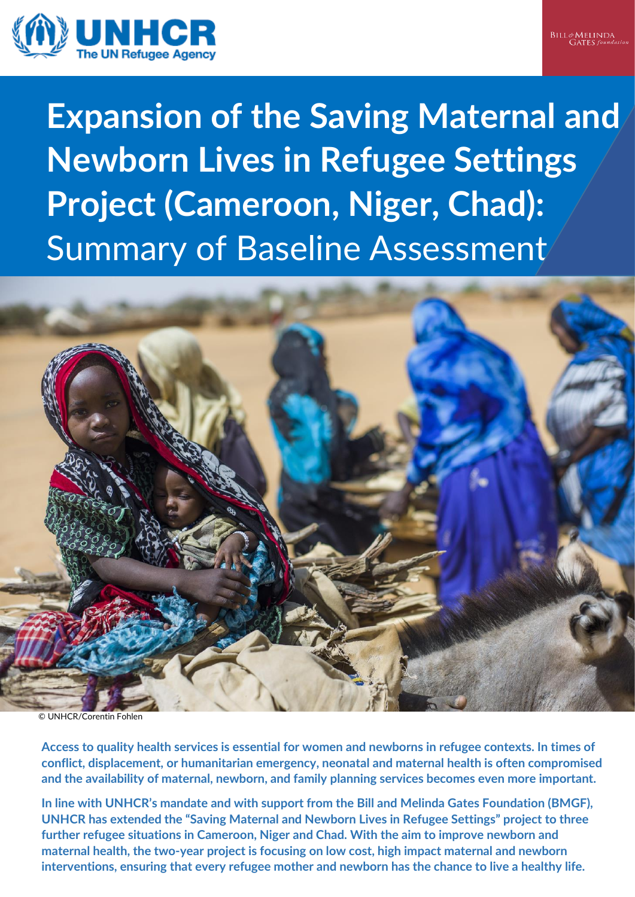



**Expansion of the Saving Maternal and Newborn Lives in Refugee Settings Project (Cameroon, Niger, Chad):**  Summary of Baseline Assessment



**Access to quality health services is essential for women and newborns in refugee contexts. In times of conflict, displacement, or humanitarian emergency, neonatal and maternal health is often compromised and the availability of maternal, newborn, and family planning services becomes even more important.**

**In line with UNHCR's mandate and with support from the Bill and Melinda Gates Foundation (BMGF), UNHCR has extended the "Saving Maternal and Newborn Lives in Refugee Settings" project to three further refugee situations in Cameroon, Niger and Chad. With the aim to improve newborn and maternal health, the two-year project is focusing on low cost, high impact maternal and newborn interventions, ensuring that every refugee mother and newborn has the chance to live a healthy life.**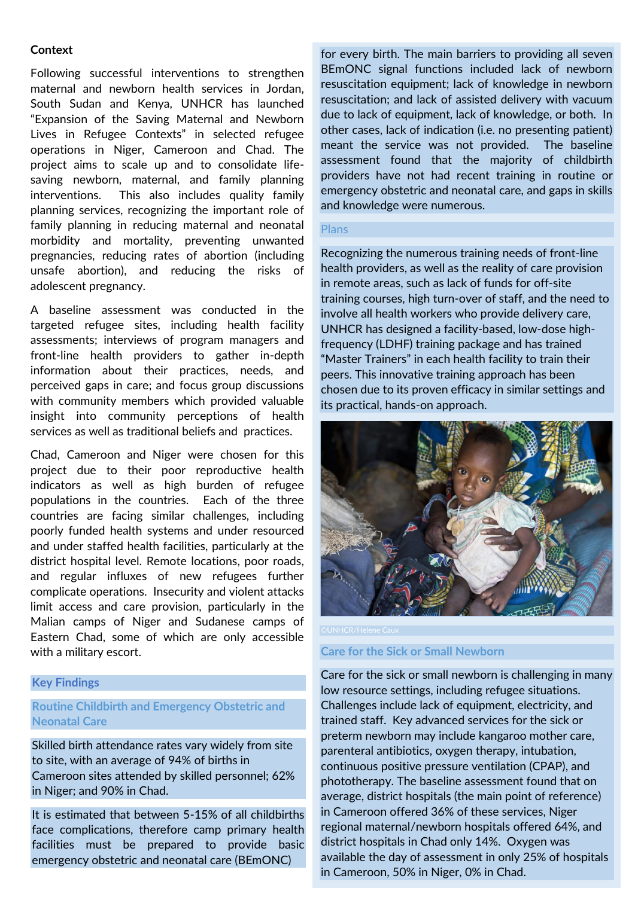## **Context**

Following successful interventions to strengthen maternal and newborn health services in Jordan, South Sudan and Kenya, UNHCR has launched "Expansion of the Saving Maternal and Newborn Lives in Refugee Contexts" in selected refugee operations in Niger, Cameroon and Chad. The project aims to scale up and to consolidate lifesaving newborn, maternal, and family planning interventions. This also includes quality family planning services, recognizing the important role of family planning in reducing maternal and neonatal morbidity and mortality, preventing unwanted pregnancies, reducing rates of abortion (including unsafe abortion), and reducing the risks of adolescent pregnancy.

A baseline assessment was conducted in the targeted refugee sites, including health facility assessments; interviews of program managers and front-line health providers to gather in-depth information about their practices, needs, and perceived gaps in care; and focus group discussions with community members which provided valuable insight into community perceptions of health services as well as traditional beliefs and practices.

Chad, Cameroon and Niger were chosen for this project due to their poor reproductive health indicators as well as high burden of refugee populations in the countries. Each of the three countries are facing similar challenges, including poorly funded health systems and under resourced and under staffed health facilities, particularly at the district hospital level. Remote locations, poor roads, and regular influxes of new refugees further complicate operations. Insecurity and violent attacks limit access and care provision, particularly in the Malian camps of Niger and Sudanese camps of Eastern Chad, some of which are only accessible with a military escort.

### **Key Findings**

# **Routine Childbirth and Emergency Obstetric and Neonatal Care**

Skilled birth attendance rates vary widely from site to site, with an average of 94% of births in Cameroon sites attended by skilled personnel; 62% in Niger; and 90% in Chad.

facilities must be prepared to provide basic It is estimated that between 5-15% of all childbirths face complications, therefore camp primary health emergency obstetric and neonatal care (BEmONC)

for every birth. The main barriers to providing all seven BEmONC signal functions included lack of newborn resuscitation equipment; lack of knowledge in newborn resuscitation; and lack of assisted delivery with vacuum due to lack of equipment, lack of knowledge, or both. In other cases, lack of indication (i.e. no presenting patient) meant the service was not provided. The baseline assessment found that the majority of childbirth providers have not had recent training in routine or emergency obstetric and neonatal care, and gaps in skills and knowledge were numerous.

#### Plans

Recognizing the numerous training needs of front-line health providers, as well as the reality of care provision in remote areas, such as lack of funds for off-site training courses, high turn-over of staff, and the need to involve all health workers who provide delivery care, UNHCR has designed a facility-based, low-dose highfrequency (LDHF) training package and has trained "Master Trainers" in each health facility to train their peers. This innovative training approach has been chosen due to its proven efficacy in similar settings and its practical, hands-on approach.



**Care for the Sick or Small Newborn**

Care for the sick or small newborn is challenging in many low resource settings, including refugee situations. Challenges include lack of equipment, electricity, and trained staff. Key advanced services for the sick or preterm newborn may include kangaroo mother care, parenteral antibiotics, oxygen therapy, intubation, continuous positive pressure ventilation (CPAP), and phototherapy. The baseline assessment found that on average, district hospitals (the main point of reference) in Cameroon offered 36% of these services, Niger regional maternal/newborn hospitals offered 64%, and district hospitals in Chad only 14%. Oxygen was available the day of assessment in only 25% of hospitals in Cameroon, 50% in Niger, 0% in Chad.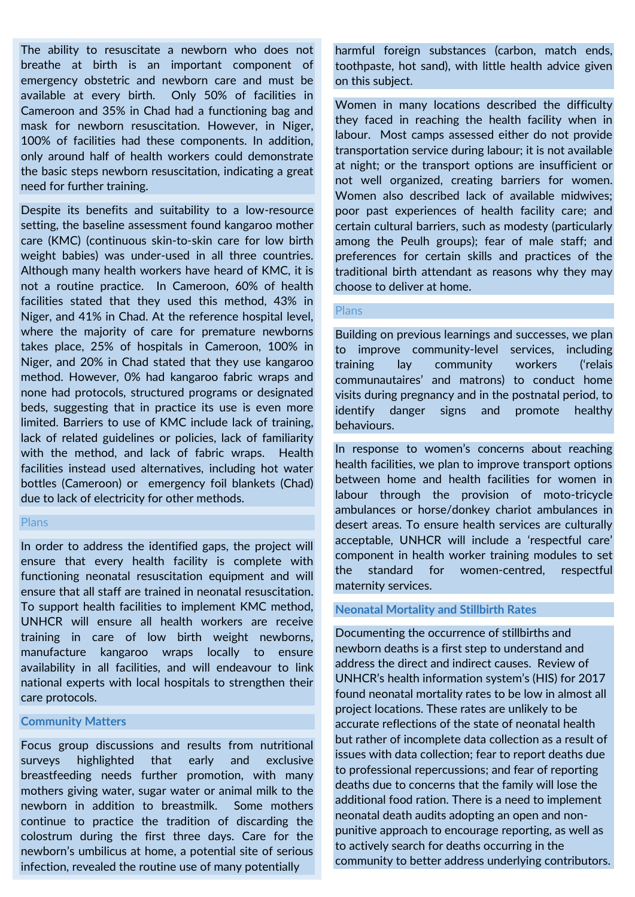The ability to resuscitate a newborn who does not breathe at birth is an important component of emergency obstetric and newborn care and must be available at every birth. Only 50% of facilities in Cameroon and 35% in Chad had a functioning bag and mask for newborn resuscitation. However, in Niger, 100% of facilities had these components. In addition, only around half of health workers could demonstrate the basic steps newborn resuscitation, indicating a great need for further training.

Despite its benefits and suitability to a low-resource setting, the baseline assessment found kangaroo mother care (KMC) (continuous skin-to-skin care for low birth weight babies) was under-used in all three countries. Although many health workers have heard of KMC, it is not a routine practice. In Cameroon, 60% of health facilities stated that they used this method, 43% in Niger, and 41% in Chad. At the reference hospital level, where the majority of care for premature newborns takes place, 25% of hospitals in Cameroon, 100% in Niger, and 20% in Chad stated that they use kangaroo method. However, 0% had kangaroo fabric wraps and none had protocols, structured programs or designated beds, suggesting that in practice its use is even more limited. Barriers to use of KMC include lack of training, lack of related guidelines or policies, lack of familiarity with the method, and lack of fabric wraps. Health facilities instead used alternatives, including hot water bottles (Cameroon) or emergency foil blankets (Chad) due to lack of electricity for other methods.

#### Plans

In order to address the identified gaps, the project will ensure that every health facility is complete with functioning neonatal resuscitation equipment and will ensure that all staff are trained in neonatal resuscitation. To support health facilities to implement KMC method, UNHCR will ensure all health workers are receive training in care of low birth weight newborns, manufacture kangaroo wraps locally to ensure availability in all facilities, and will endeavour to link national experts with local hospitals to strengthen their care protocols.

#### **Community Matters**

Focus group discussions and results from nutritional surveys highlighted that early and exclusive breastfeeding needs further promotion, with many mothers giving water, sugar water or animal milk to the newborn in addition to breastmilk. Some mothers continue to practice the tradition of discarding the colostrum during the first three days. Care for the newborn's umbilicus at home, a potential site of serious infection, revealed the routine use of many potentially

harmful foreign substances (carbon, match ends, toothpaste, hot sand), with little health advice given on this subject.

Women in many locations described the difficulty they faced in reaching the health facility when in labour. Most camps assessed either do not provide transportation service during labour; it is not available at night; or the transport options are insufficient or not well organized, creating barriers for women. Women also described lack of available midwives; poor past experiences of health facility care; and certain cultural barriers, such as modesty (particularly among the Peulh groups); fear of male staff; and preferences for certain skills and practices of the traditional birth attendant as reasons why they may choose to deliver at home.

### **Plans**

Building on previous learnings and successes, we plan to improve community-level services, including training lay community workers ('relais communautaires' and matrons) to conduct home visits during pregnancy and in the postnatal period, to identify danger signs and promote healthy behaviours.

In response to women's concerns about reaching health facilities, we plan to improve transport options between home and health facilities for women in labour through the provision of moto-tricycle ambulances or horse/donkey chariot ambulances in desert areas. To ensure health services are culturally acceptable, UNHCR will include a 'respectful care' component in health worker training modules to set the standard for women-centred, respectful maternity services.

### **Neonatal Mortality and Stillbirth Rates**

Documenting the occurrence of stillbirths and newborn deaths is a first step to understand and address the direct and indirect causes. Review of UNHCR's health information system's (HIS) for 2017 found neonatal mortality rates to be low in almost all project locations. These rates are unlikely to be accurate reflections of the state of neonatal health but rather of incomplete data collection as a result of issues with data collection; fear to report deaths due to professional repercussions; and fear of reporting deaths due to concerns that the family will lose the additional food ration. There is a need to implement neonatal death audits adopting an open and nonpunitive approach to encourage reporting, as well as to actively search for deaths occurring in the community to better address underlying contributors.